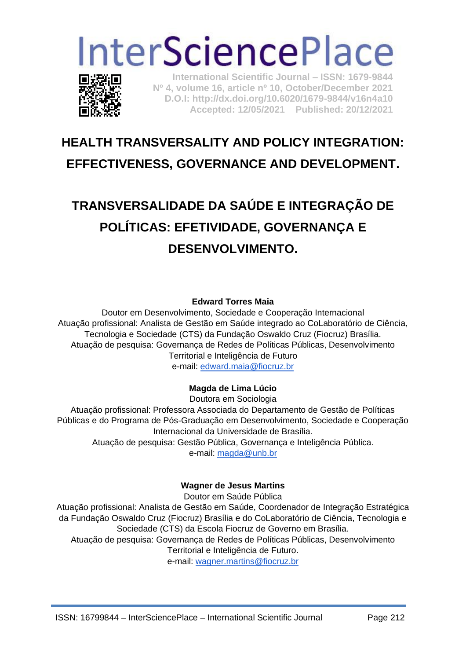# **InterSciencePlace**



**International Scientific Journal – ISSN: 1679-9844 Nº 4, volume 16, article nº 10, October/December 2021 D.O.I: http://dx.doi.org/10.6020/1679-9844/v16n4a10 Accepted: 12/05/2021 Published: 20/12/2021** 

# **HEALTH TRANSVERSALITY AND POLICY INTEGRATION: EFFECTIVENESS, GOVERNANCE AND DEVELOPMENT.**

# **TRANSVERSALIDADE DA SAÚDE E INTEGRAÇÃO DE POLÍTICAS: EFETIVIDADE, GOVERNANÇA E DESENVOLVIMENTO.**

#### **Edward Torres Maia**

Doutor em Desenvolvimento, Sociedade e Cooperação Internacional Atuação profissional: Analista de Gestão em Saúde integrado ao CoLaboratório de Ciência, Tecnologia e Sociedade (CTS) da Fundação Oswaldo Cruz (Fiocruz) Brasília. Atuação de pesquisa: Governança de Redes de Políticas Públicas, Desenvolvimento Territorial e Inteligência de Futuro e-mail: [edward.maia@fiocruz.br](mailto:edward.maia@fiocruz.br)

#### **Magda de Lima Lúcio**

Doutora em Sociologia Atuação profissional: Professora Associada do Departamento de Gestão de Políticas Públicas e do Programa de Pós-Graduação em Desenvolvimento, Sociedade e Cooperação Internacional da Universidade de Brasília. Atuação de pesquisa: Gestão Pública, Governança e Inteligência Pública. e-mail: [magda@unb.br](mailto:magda@unb.br)

#### **Wagner de Jesus Martins**

Doutor em Saúde Pública

Atuação profissional: Analista de Gestão em Saúde, Coordenador de Integração Estratégica da Fundação Oswaldo Cruz (Fiocruz) Brasília e do CoLaboratório de Ciência, Tecnologia e Sociedade (CTS) da Escola Fiocruz de Governo em Brasília. Atuação de pesquisa: Governança de Redes de Políticas Públicas, Desenvolvimento Territorial e Inteligência de Futuro. e-mail: [wagner.martins@fiocruz.br](mailto:wagner.martins@fiocruz.br)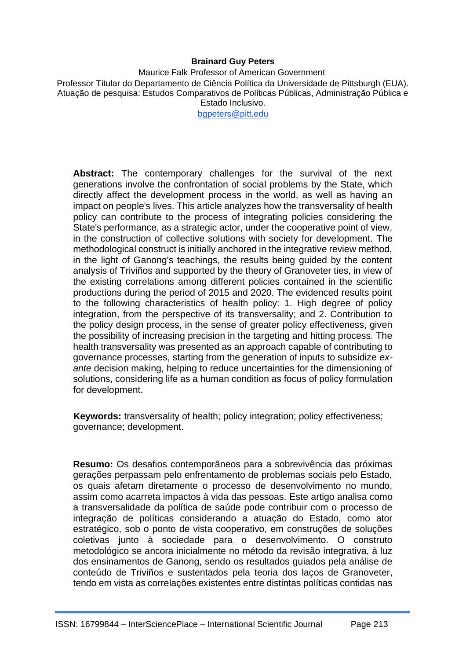#### **Brainard Guy Peters**

Maurice Falk Professor of American Government Professor Titular do Departamento de Ciência Política da Universidade de Pittsburgh (EUA). Atuação de pesquisa: Estudos Comparativos de Políticas Públicas, Administração Pública e Estado Inclusivo.

[bgpeters@pitt.edu](mailto:bgpeters@pitt.edu)

**Abstract:** The contemporary challenges for the survival of the next generations involve the confrontation of social problems by the State, which directly affect the development process in the world, as well as having an impact on people's lives. This article analyzes how the transversality of health policy can contribute to the process of integrating policies considering the State's performance, as a strategic actor, under the cooperative point of view, in the construction of collective solutions with society for development. The methodological construct is initially anchored in the integrative review method, in the light of Ganong's teachings, the results being guided by the content analysis of Triviños and supported by the theory of Granoveter ties, in view of the existing correlations among different policies contained in the scientific productions during the period of 2015 and 2020. The evidenced results point to the following characteristics of health policy: 1. High degree of policy integration, from the perspective of its transversality; and 2. Contribution to the policy design process, in the sense of greater policy effectiveness, given the possibility of increasing precision in the targeting and hitting process. The health transversality was presented as an approach capable of contributing to governance processes, starting from the generation of inputs to subsidize *exante* decision making, helping to reduce uncertainties for the dimensioning of solutions, considering life as a human condition as focus of policy formulation for development.

**Keywords:** transversality of health; policy integration; policy effectiveness; governance; development.

**Resumo:** Os desafios contemporâneos para a sobrevivência das próximas gerações perpassam pelo enfrentamento de problemas sociais pelo Estado, os quais afetam diretamente o processo de desenvolvimento no mundo, assim como acarreta impactos à vida das pessoas. Este artigo analisa como a transversalidade da política de saúde pode contribuir com o processo de integração de políticas considerando a atuação do Estado, como ator estratégico, sob o ponto de vista cooperativo, em construções de soluções coletivas junto à sociedade para o desenvolvimento. O construto metodológico se ancora inicialmente no método da revisão integrativa, à luz dos ensinamentos de Ganong, sendo os resultados guiados pela análise de conteúdo de Triviños e sustentados pela teoria dos laços de Granoveter, tendo em vista as correlações existentes entre distintas políticas contidas nas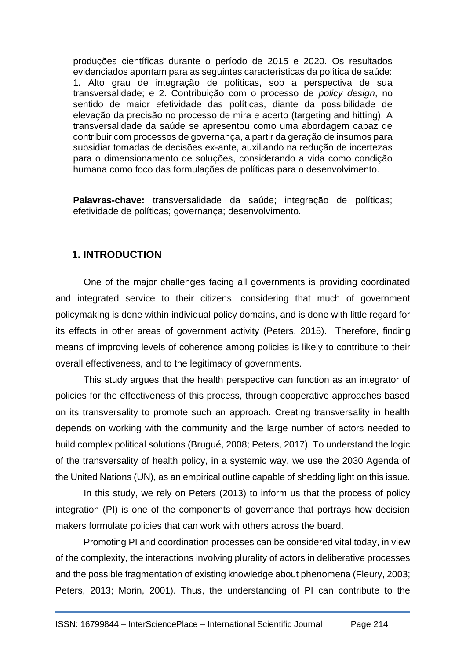produções científicas durante o período de 2015 e 2020. Os resultados evidenciados apontam para as seguintes características da política de saúde: 1. Alto grau de integração de políticas, sob a perspectiva de sua transversalidade; e 2. Contribuição com o processo de *policy design*, no sentido de maior efetividade das políticas, diante da possibilidade de elevação da precisão no processo de mira e acerto (targeting and hitting). A transversalidade da saúde se apresentou como uma abordagem capaz de contribuir com processos de governança, a partir da geração de insumos para subsidiar tomadas de decisões ex-ante, auxiliando na redução de incertezas para o dimensionamento de soluções, considerando a vida como condição humana como foco das formulações de políticas para o desenvolvimento.

**Palavras-chave:** transversalidade da saúde; integração de políticas; efetividade de políticas; governança; desenvolvimento.

## **1. INTRODUCTION**

One of the major challenges facing all governments is providing coordinated and integrated service to their citizens, considering that much of government policymaking is done within individual policy domains, and is done with little regard for its effects in other areas of government activity (Peters, 2015). Therefore, finding means of improving levels of coherence among policies is likely to contribute to their overall effectiveness, and to the legitimacy of governments.

This study argues that the health perspective can function as an integrator of policies for the effectiveness of this process, through cooperative approaches based on its transversality to promote such an approach. Creating transversality in health depends on working with the community and the large number of actors needed to build complex political solutions (Brugué, 2008; Peters, 2017). To understand the logic of the transversality of health policy, in a systemic way, we use the 2030 Agenda of the United Nations (UN), as an empirical outline capable of shedding light on this issue.

In this study, we rely on Peters (2013) to inform us that the process of policy integration (PI) is one of the components of governance that portrays how decision makers formulate policies that can work with others across the board.

Promoting PI and coordination processes can be considered vital today, in view of the complexity, the interactions involving plurality of actors in deliberative processes and the possible fragmentation of existing knowledge about phenomena (Fleury, 2003; Peters, 2013; Morin, 2001). Thus, the understanding of PI can contribute to the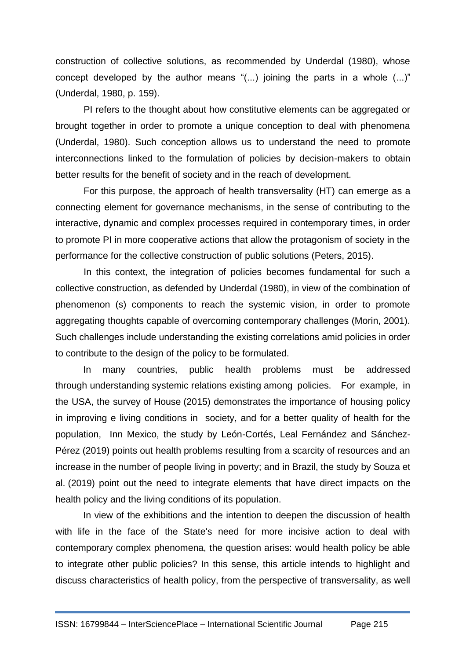construction of collective solutions, as recommended by Underdal (1980), whose concept developed by the author means "(...) joining the parts in a whole (...)" (Underdal, 1980, p. 159).

PI refers to the thought about how constitutive elements can be aggregated or brought together in order to promote a unique conception to deal with phenomena (Underdal, 1980). Such conception allows us to understand the need to promote interconnections linked to the formulation of policies by decision-makers to obtain better results for the benefit of society and in the reach of development.

For this purpose, the approach of health transversality (HT) can emerge as a connecting element for governance mechanisms, in the sense of contributing to the interactive, dynamic and complex processes required in contemporary times, in order to promote PI in more cooperative actions that allow the protagonism of society in the performance for the collective construction of public solutions (Peters, 2015).

In this context, the integration of policies becomes fundamental for such a collective construction, as defended by Underdal (1980), in view of the combination of phenomenon (s) components to reach the systemic vision, in order to promote aggregating thoughts capable of overcoming contemporary challenges (Morin, 2001). Such challenges include understanding the existing correlations amid policies in order to contribute to the design of the policy to be formulated.

In many countries, public health problems must be addressed through understanding systemic relations existing among policies. For example, in the USA, the survey of House (2015) demonstrates the importance of housing policy in improving e living conditions in society, and for a better quality of health for the population, Inn Mexico, the study by León-Cortés, Leal Fernández and Sánchez-Pérez (2019) points out health problems resulting from a scarcity of resources and an increase in the number of people living in poverty; and in Brazil, the study by Souza et al. (2019) point out the need to integrate elements that have direct impacts on the health policy and the living conditions of its population.

In view of the exhibitions and the intention to deepen the discussion of health with life in the face of the State's need for more incisive action to deal with contemporary complex phenomena, the question arises: would health policy be able to integrate other public policies? In this sense, this article intends to highlight and discuss characteristics of health policy, from the perspective of transversality, as well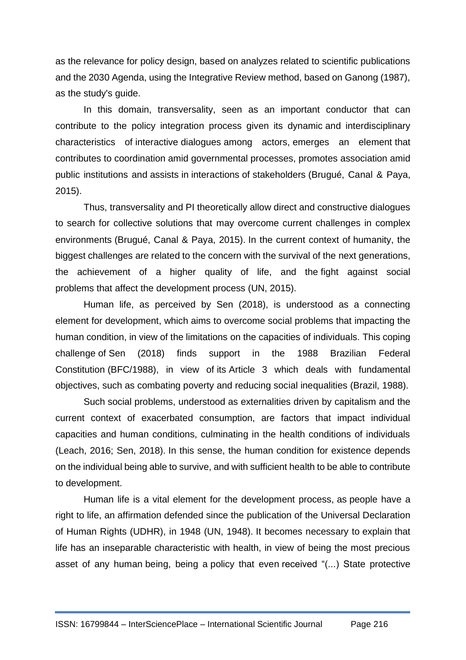as the relevance for policy design, based on analyzes related to scientific publications and the 2030 Agenda, using the Integrative Review method, based on Ganong (1987), as the study's guide.

In this domain, transversality, seen as an important conductor that can contribute to the policy integration process given its dynamic and interdisciplinary characteristics of interactive dialogues among actors, emerges an element that contributes to coordination amid governmental processes, promotes association amid public institutions and assists in interactions of stakeholders (Brugué, Canal & Paya, 2015).

Thus, transversality and PI theoretically allow direct and constructive dialogues to search for collective solutions that may overcome current challenges in complex environments (Brugué, Canal & Paya, 2015). In the current context of humanity, the biggest challenges are related to the concern with the survival of the next generations, the achievement of a higher quality of life, and the fight against social problems that affect the development process (UN, 2015).

Human life, as perceived by Sen (2018), is understood as a connecting element for development, which aims to overcome social problems that impacting the human condition, in view of the limitations on the capacities of individuals. This coping challenge of Sen (2018) finds support in the 1988 Brazilian Federal Constitution (BFC/1988), in view of its Article 3 which deals with fundamental objectives, such as combating poverty and reducing social inequalities (Brazil, 1988).

Such social problems, understood as externalities driven by capitalism and the current context of exacerbated consumption, are factors that impact individual capacities and human conditions, culminating in the health conditions of individuals (Leach, 2016; Sen, 2018). In this sense, the human condition for existence depends on the individual being able to survive, and with sufficient health to be able to contribute to development.

Human life is a vital element for the development process, as people have a right to life, an affirmation defended since the publication of the Universal Declaration of Human Rights (UDHR), in 1948 (UN, 1948). It becomes necessary to explain that life has an inseparable characteristic with health, in view of being the most precious asset of any human being, being a policy that even received "(...) State protective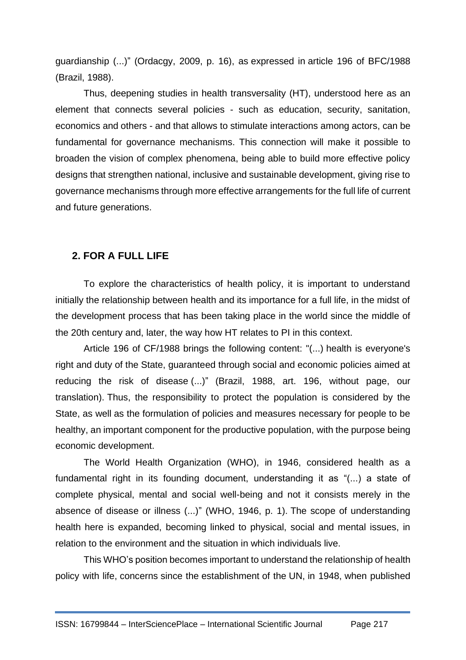guardianship (...)" (Ordacgy, 2009, p. 16), as expressed in article 196 of BFC/1988 (Brazil, 1988).

Thus, deepening studies in health transversality (HT), understood here as an element that connects several policies - such as education, security, sanitation, economics and others - and that allows to stimulate interactions among actors, can be fundamental for governance mechanisms. This connection will make it possible to broaden the vision of complex phenomena, being able to build more effective policy designs that strengthen national, inclusive and sustainable development, giving rise to governance mechanisms through more effective arrangements for the full life of current and future generations.

## **2. FOR A FULL LIFE**

To explore the characteristics of health policy, it is important to understand initially the relationship between health and its importance for a full life, in the midst of the development process that has been taking place in the world since the middle of the 20th century and, later, the way how HT relates to PI in this context.

Article 196 of CF/1988 brings the following content: "(...) health is everyone's right and duty of the State, guaranteed through social and economic policies aimed at reducing the risk of disease (...)" (Brazil, 1988, art. 196, without page, our translation). Thus, the responsibility to protect the population is considered by the State, as well as the formulation of policies and measures necessary for people to be healthy, an important component for the productive population, with the purpose being economic development.

The World Health Organization (WHO), in 1946, considered health as a fundamental right in its founding document, understanding it as "(...) a state of complete physical, mental and social well-being and not it consists merely in the absence of disease or illness (...)" (WHO, 1946, p. 1). The scope of understanding health here is expanded, becoming linked to physical, social and mental issues, in relation to the environment and the situation in which individuals live.

This WHO's position becomes important to understand the relationship of health policy with life, concerns since the establishment of the UN, in 1948, when published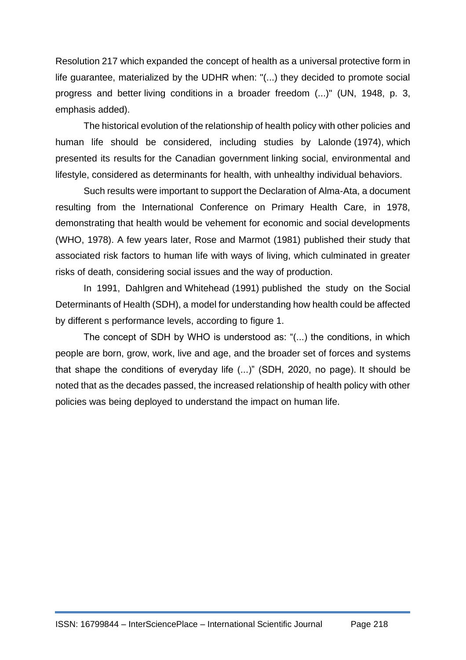Resolution 217 which expanded the concept of health as a universal protective form in life guarantee, materialized by the UDHR when: "(...) they decided to promote social progress and better living conditions in a broader freedom (...)" (UN, 1948, p. 3, emphasis added).

The historical evolution of the relationship of health policy with other policies and human life should be considered, including studies by Lalonde (1974), which presented its results for the Canadian government linking social, environmental and lifestyle, considered as determinants for health, with unhealthy individual behaviors.

Such results were important to support the Declaration of Alma-Ata, a document resulting from the International Conference on Primary Health Care, in 1978, demonstrating that health would be vehement for economic and social developments (WHO, 1978). A few years later, Rose and Marmot (1981) published their study that associated risk factors to human life with ways of living, which culminated in greater risks of death, considering social issues and the way of production.

In 1991, Dahlgren and Whitehead (1991) published the study on the Social Determinants of Health (SDH), a model for understanding how health could be affected by different s performance levels, according to figure 1.

The concept of SDH by WHO is understood as: "(...) the conditions, in which people are born, grow, work, live and age, and the broader set of forces and systems that shape the conditions of everyday life (...)" (SDH, 2020, no page). It should be noted that as the decades passed, the increased relationship of health policy with other policies was being deployed to understand the impact on human life.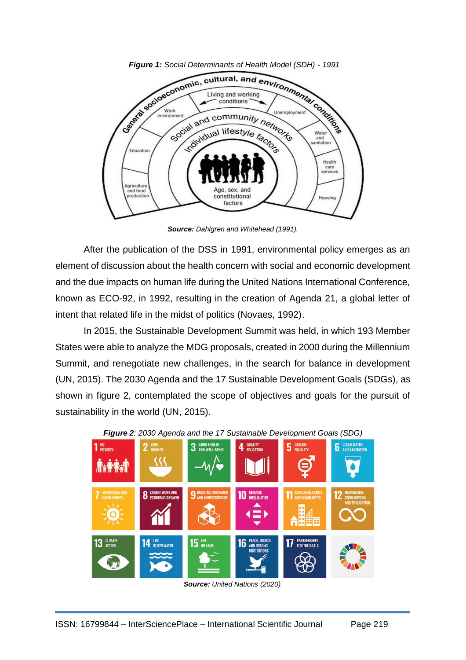

*Figure 1: Social Determinants of Health Model (SDH) - 1991*

*Source: Dahlgren and Whitehead (1991).*

After the publication of the DSS in 1991, environmental policy emerges as an element of discussion about the health concern with social and economic development and the due impacts on human life during the United Nations International Conference, known as ECO-92, in 1992, resulting in the creation of Agenda 21, a global letter of intent that related life in the midst of politics (Novaes, 1992).

In 2015, the Sustainable Development Summit was held, in which 193 Member States were able to analyze the MDG proposals, created in 2000 during the Millennium Summit, and renegotiate new challenges, in the search for balance in development (UN, 2015). The 2030 Agenda and the 17 Sustainable Development Goals (SDGs), as shown in figure 2, contemplated the scope of objectives and goals for the pursuit of sustainability in the world (UN, 2015).



*Figure 2: 2030 Agenda and the 17 Sustainable Development Goals (SDG)*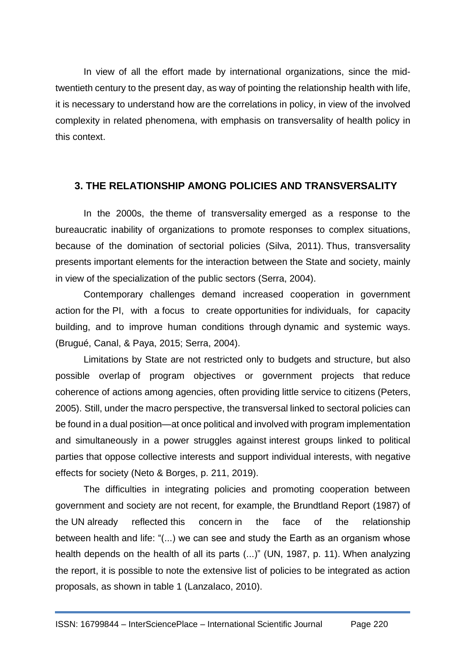In view of all the effort made by international organizations, since the midtwentieth century to the present day, as way of pointing the relationship health with life, it is necessary to understand how are the correlations in policy, in view of the involved complexity in related phenomena, with emphasis on transversality of health policy in this context.

#### **3. THE RELATIONSHIP AMONG POLICIES AND TRANSVERSALITY**

In the 2000s, the theme of transversality emerged as a response to the bureaucratic inability of organizations to promote responses to complex situations, because of the domination of sectorial policies (Silva, 2011). Thus, transversality presents important elements for the interaction between the State and society, mainly in view of the specialization of the public sectors (Serra, 2004).

Contemporary challenges demand increased cooperation in government action for the PI, with a focus to create opportunities for individuals, for capacity building, and to improve human conditions through dynamic and systemic ways. (Brugué, Canal, & Paya, 2015; Serra, 2004).

Limitations by State are not restricted only to budgets and structure, but also possible overlap of program objectives or government projects that reduce coherence of actions among agencies, often providing little service to citizens (Peters, 2005). Still, under the macro perspective, the transversal linked to sectoral policies can be found in a dual position—at once political and involved with program implementation and simultaneously in a power struggles against interest groups linked to political parties that oppose collective interests and support individual interests, with negative effects for society (Neto & Borges, p. 211, 2019).

The difficulties in integrating policies and promoting cooperation between government and society are not recent, for example, the Brundtland Report (1987) of the UN already reflected this concern in the face of the relationship between health and life: "(...) we can see and study the Earth as an organism whose health depends on the health of all its parts (...)" (UN, 1987, p. 11). When analyzing the report, it is possible to note the extensive list of policies to be integrated as action proposals, as shown in table 1 (Lanzalaco, 2010).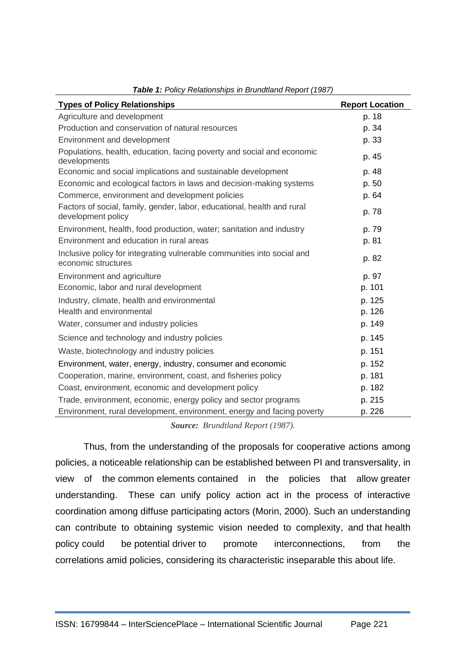| <b>Types of Policy Relationships</b>                                                           | <b>Report Location</b> |
|------------------------------------------------------------------------------------------------|------------------------|
| Agriculture and development                                                                    | p. 18                  |
| Production and conservation of natural resources                                               | p. 34                  |
| Environment and development                                                                    | p. 33                  |
| Populations, health, education, facing poverty and social and economic<br>developments         | p. 45                  |
| Economic and social implications and sustainable development                                   | p. 48                  |
| Economic and ecological factors in laws and decision-making systems                            | p. 50                  |
| Commerce, environment and development policies                                                 | p. 64                  |
| Factors of social, family, gender, labor, educational, health and rural<br>development policy  | p. 78                  |
| Environment, health, food production, water; sanitation and industry                           | p. 79                  |
| Environment and education in rural areas                                                       | p. 81                  |
| Inclusive policy for integrating vulnerable communities into social and<br>economic structures | p. 82                  |
| Environment and agriculture                                                                    | p. 97                  |
| Economic, labor and rural development                                                          | p. 101                 |
| Industry, climate, health and environmental                                                    | p. 125                 |
| Health and environmental                                                                       | p. 126                 |
| Water, consumer and industry policies                                                          | p. 149                 |
| Science and technology and industry policies                                                   | p. 145                 |
| Waste, biotechnology and industry policies                                                     | p. 151                 |
| Environment, water, energy, industry, consumer and economic                                    | p. 152                 |
| Cooperation, marine, environment, coast, and fisheries policy                                  | p. 181                 |
| Coast, environment, economic and development policy                                            | p. 182                 |
| Trade, environment, economic, energy policy and sector programs                                | p. 215                 |
| Environment, rural development, environment, energy and facing poverty                         | p. 226                 |

*Table 1: Policy Relationships in Brundtland Report (1987)*

*Source: Brundtland Report (1987).*

Thus, from the understanding of the proposals for cooperative actions among policies, a noticeable relationship can be established between PI and transversality, in view of the common elements contained in the policies that allow greater understanding. These can unify policy action act in the process of interactive coordination among diffuse participating actors (Morin, 2000). Such an understanding can contribute to obtaining systemic vision needed to complexity, and that health policy could be potential driver to promote interconnections, from the correlations amid policies, considering its characteristic inseparable this about life.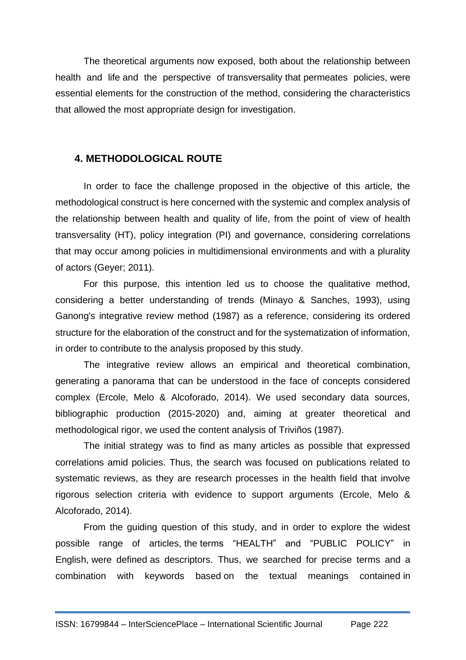The theoretical arguments now exposed, both about the relationship between health and life and the perspective of transversality that permeates policies, were essential elements for the construction of the method, considering the characteristics that allowed the most appropriate design for investigation.

# **4. METHODOLOGICAL ROUTE**

In order to face the challenge proposed in the objective of this article, the methodological construct is here concerned with the systemic and complex analysis of the relationship between health and quality of life, from the point of view of health transversality (HT), policy integration (PI) and governance, considering correlations that may occur among policies in multidimensional environments and with a plurality of actors (Geyer; 2011).

For this purpose, this intention led us to choose the qualitative method, considering a better understanding of trends (Minayo & Sanches, 1993), using Ganong's integrative review method (1987) as a reference, considering its ordered structure for the elaboration of the construct and for the systematization of information, in order to contribute to the analysis proposed by this study.

The integrative review allows an empirical and theoretical combination, generating a panorama that can be understood in the face of concepts considered complex (Ercole, Melo & Alcoforado, 2014). We used secondary data sources, bibliographic production (2015-2020) and, aiming at greater theoretical and methodological rigor, we used the content analysis of Triviños (1987).

The initial strategy was to find as many articles as possible that expressed correlations amid policies. Thus, the search was focused on publications related to systematic reviews, as they are research processes in the health field that involve rigorous selection criteria with evidence to support arguments (Ercole, Melo & Alcoforado, 2014).

From the guiding question of this study, and in order to explore the widest possible range of articles, the terms "HEALTH" and "PUBLIC POLICY" in English, were defined as descriptors. Thus, we searched for precise terms and a combination with keywords based on the textual meanings contained in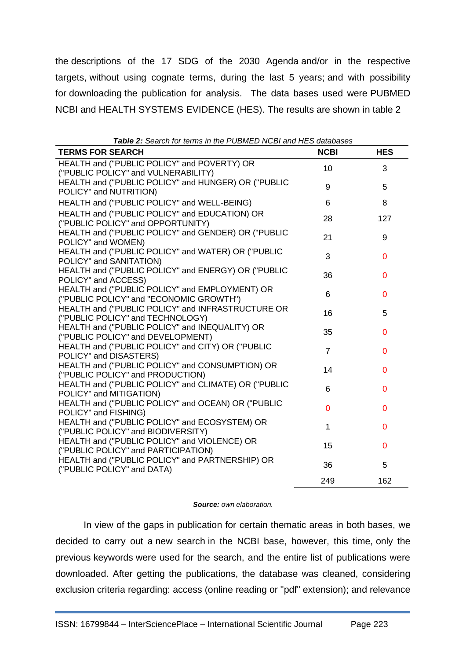the descriptions of the 17 SDG of the 2030 Agenda and/or in the respective targets, without using cognate terms, during the last 5 years; and with possibility for downloading the publication for analysis. The data bases used were PUBMED NCBI and HEALTH SYSTEMS EVIDENCE (HES). The results are shown in table 2

| <b>TERMS FOR SEARCH</b>                                                                  | <b>NCBI</b>    | <b>HES</b>     |
|------------------------------------------------------------------------------------------|----------------|----------------|
| HEALTH and ("PUBLIC POLICY" and POVERTY) OR                                              | 10             | 3              |
| ("PUBLIC POLICY" and VULNERABILITY)                                                      |                |                |
| HEALTH and ("PUBLIC POLICY" and HUNGER) OR ("PUBLIC                                      | 9              | 5              |
| POLICY" and NUTRITION)                                                                   |                |                |
| HEALTH and ("PUBLIC POLICY" and WELL-BEING)                                              | 6              | 8              |
| HEALTH and ("PUBLIC POLICY" and EDUCATION) OR                                            | 28             | 127            |
| ("PUBLIC POLICY" and OPPORTUNITY)<br>HEALTH and ("PUBLIC POLICY" and GENDER) OR ("PUBLIC |                |                |
| POLICY" and WOMEN)                                                                       | 21             | 9              |
| HEALTH and ("PUBLIC POLICY" and WATER) OR ("PUBLIC                                       |                |                |
| POLICY" and SANITATION)                                                                  | 3              | $\mathbf 0$    |
| HEALTH and ("PUBLIC POLICY" and ENERGY) OR ("PUBLIC                                      | 36             | $\mathbf 0$    |
| POLICY" and ACCESS)                                                                      |                |                |
| HEALTH and ("PUBLIC POLICY" and EMPLOYMENT) OR                                           | 6              | $\overline{0}$ |
| ("PUBLIC POLICY" and "ECONOMIC GROWTH")                                                  |                |                |
| HEALTH and ("PUBLIC POLICY" and INFRASTRUCTURE OR                                        | 16             | 5              |
| ("PUBLIC POLICY" and TECHNOLOGY)<br>HEALTH and ("PUBLIC POLICY" and INEQUALITY) OR       |                |                |
| ("PUBLIC POLICY" and DEVELOPMENT)                                                        | 35             | $\overline{0}$ |
| HEALTH and ("PUBLIC POLICY" and CITY) OR ("PUBLIC                                        |                |                |
| POLICY" and DISASTERS)                                                                   | $\overline{7}$ | $\overline{0}$ |
| HEALTH and ("PUBLIC POLICY" and CONSUMPTION) OR                                          | 14             | $\Omega$       |
| ("PUBLIC POLICY" and PRODUCTION)                                                         |                |                |
| HEALTH and ("PUBLIC POLICY" and CLIMATE) OR ("PUBLIC                                     | 6              | $\mathbf 0$    |
| POLICY" and MITIGATION)                                                                  |                |                |
| HEALTH and ("PUBLIC POLICY" and OCEAN) OR ("PUBLIC                                       | $\overline{0}$ | $\overline{0}$ |
| POLICY" and FISHING)<br>HEALTH and ("PUBLIC POLICY" and ECOSYSTEM) OR                    |                |                |
| ("PUBLIC POLICY" and BIODIVERSITY)                                                       | 1              | $\mathbf 0$    |
| HEALTH and ("PUBLIC POLICY" and VIOLENCE) OR                                             |                |                |
| ("PUBLIC POLICY" and PARTICIPATION)                                                      | 15             | $\mathbf 0$    |
| HEALTH and ("PUBLIC POLICY" and PARTNERSHIP) OR                                          | 36             | 5              |
| ("PUBLIC POLICY" and DATA)                                                               |                |                |
|                                                                                          | 249            | 162            |

*Table 2: Search for terms in the PUBMED NCBI and HES databases*

#### *Source: own elaboration.*

In view of the gaps in publication for certain thematic areas in both bases, we decided to carry out a new search in the NCBI base, however, this time, only the previous keywords were used for the search, and the entire list of publications were downloaded. After getting the publications, the database was cleaned, considering exclusion criteria regarding: access (online reading or "pdf" extension); and relevance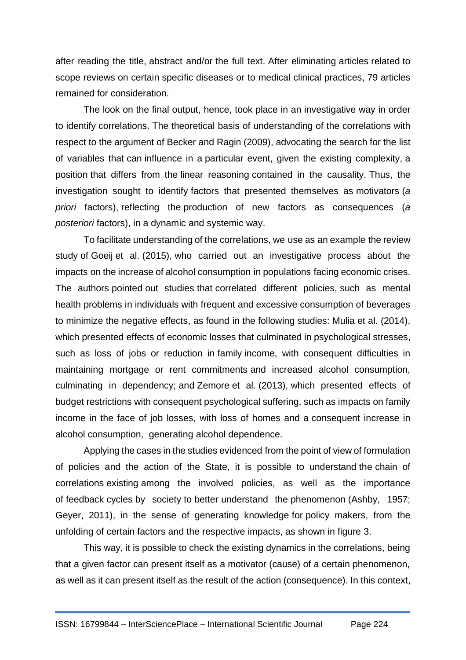after reading the title, abstract and/or the full text. After eliminating articles related to scope reviews on certain specific diseases or to medical clinical practices, 79 articles remained for consideration.

The look on the final output, hence, took place in an investigative way in order to identify correlations. The theoretical basis of understanding of the correlations with respect to the argument of Becker and Ragin (2009), advocating the search for the list of variables that can influence in a particular event, given the existing complexity, a position that differs from the linear reasoning contained in the causality. Thus, the investigation sought to identify factors that presented themselves as motivators (*a priori* factors), reflecting the production of new factors as consequences (*a posteriori* factors), in a dynamic and systemic way.

To facilitate understanding of the correlations, we use as an example the review study of Goeij et al. (2015), who carried out an investigative process about the impacts on the increase of alcohol consumption in populations facing economic crises. The authors pointed out studies that correlated different policies, such as mental health problems in individuals with frequent and excessive consumption of beverages to minimize the negative effects, as found in the following studies: Mulia et al. (2014), which presented effects of economic losses that culminated in psychological stresses, such as loss of jobs or reduction in family income, with consequent difficulties in maintaining mortgage or rent commitments and increased alcohol consumption, culminating in dependency; and Zemore et al. (2013), which presented effects of budget restrictions with consequent psychological suffering, such as impacts on family income in the face of job losses, with loss of homes and a consequent increase in alcohol consumption, generating alcohol dependence.

Applying the cases in the studies evidenced from the point of view of formulation of policies and the action of the State, it is possible to understand the chain of correlations existing among the involved policies, as well as the importance of feedback cycles by society to better understand the phenomenon (Ashby, 1957; Geyer, 2011), in the sense of generating knowledge for policy makers, from the unfolding of certain factors and the respective impacts, as shown in figure 3.

This way, it is possible to check the existing dynamics in the correlations, being that a given factor can present itself as a motivator (cause) of a certain phenomenon, as well as it can present itself as the result of the action (consequence). In this context,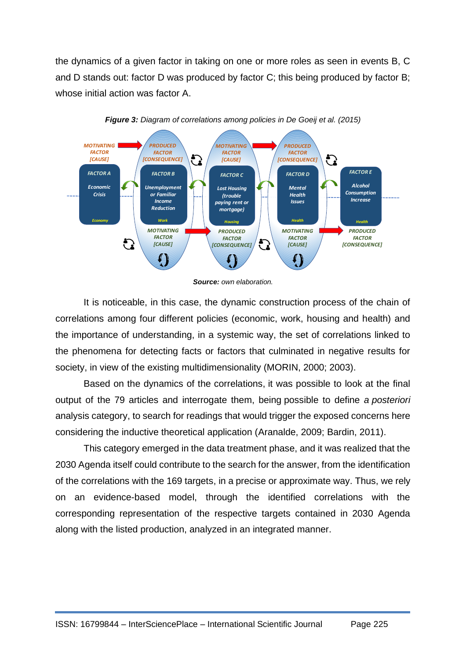the dynamics of a given factor in taking on one or more roles as seen in events B, C and D stands out: factor D was produced by factor C; this being produced by factor B; whose initial action was factor A.





It is noticeable, in this case, the dynamic construction process of the chain of correlations among four different policies (economic, work, housing and health) and the importance of understanding, in a systemic way, the set of correlations linked to the phenomena for detecting facts or factors that culminated in negative results for society, in view of the existing multidimensionality (MORIN, 2000; 2003).

Based on the dynamics of the correlations, it was possible to look at the final output of the 79 articles and interrogate them, being possible to define *a posteriori* analysis category, to search for readings that would trigger the exposed concerns here considering the inductive theoretical application (Aranalde, 2009; Bardin, 2011).

This category emerged in the data treatment phase, and it was realized that the 2030 Agenda itself could contribute to the search for the answer, from the identification of the correlations with the 169 targets, in a precise or approximate way. Thus, we rely on an evidence-based model, through the identified correlations with the corresponding representation of the respective targets contained in 2030 Agenda along with the listed production, analyzed in an integrated manner.

*Source: own elaboration.*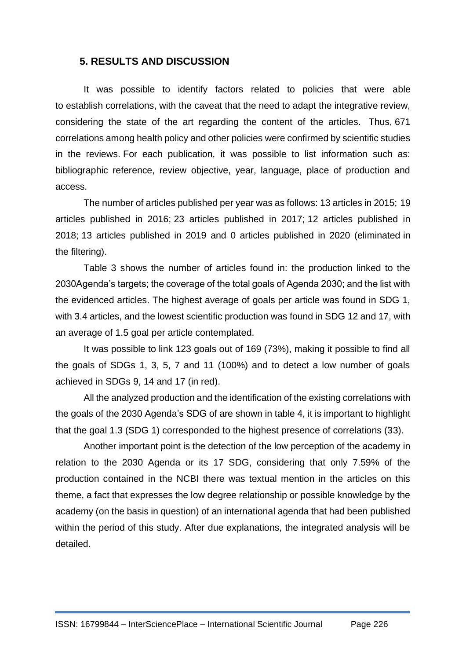#### **5. RESULTS AND DISCUSSION**

It was possible to identify factors related to policies that were able to establish correlations, with the caveat that the need to adapt the integrative review, considering the state of the art regarding the content of the articles. Thus, 671 correlations among health policy and other policies were confirmed by scientific studies in the reviews. For each publication, it was possible to list information such as: bibliographic reference, review objective, year, language, place of production and access.

The number of articles published per year was as follows: 13 articles in 2015; 19 articles published in 2016; 23 articles published in 2017; 12 articles published in 2018; 13 articles published in 2019 and 0 articles published in 2020 (eliminated in the filtering).

Table 3 shows the number of articles found in: the production linked to the 2030Agenda's targets; the coverage of the total goals of Agenda 2030; and the list with the evidenced articles. The highest average of goals per article was found in SDG 1, with 3.4 articles, and the lowest scientific production was found in SDG 12 and 17, with an average of 1.5 goal per article contemplated.

It was possible to link 123 goals out of 169 (73%), making it possible to find all the goals of SDGs 1, 3, 5, 7 and 11 (100%) and to detect a low number of goals achieved in SDGs 9, 14 and 17 (in red).

All the analyzed production and the identification of the existing correlations with the goals of the 2030 Agenda's SDG of are shown in table 4, it is important to highlight that the goal 1.3 (SDG 1) corresponded to the highest presence of correlations (33).

Another important point is the detection of the low perception of the academy in relation to the 2030 Agenda or its 17 SDG, considering that only 7.59% of the production contained in the NCBI there was textual mention in the articles on this theme, a fact that expresses the low degree relationship or possible knowledge by the academy (on the basis in question) of an international agenda that had been published within the period of this study. After due explanations, the integrated analysis will be detailed.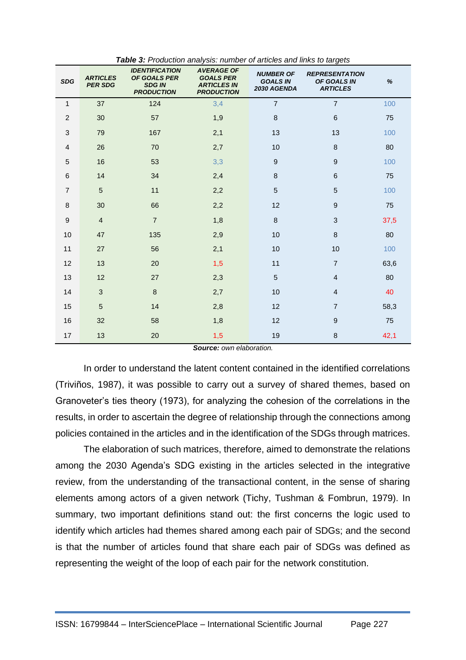| <b>SDG</b>       | <b>ARTICLES</b><br><b>PER SDG</b> | <b>IDENTIFICATION</b><br>OF GOALS PER<br><b>SDG IN</b><br><b>PRODUCTION</b> | <b>AVERAGE OF</b><br><b>GOALS PER</b><br><b>ARTICLES IN</b><br><b>PRODUCTION</b> | <b>NUMBER OF</b><br><b>GOALS IN</b><br>2030 AGENDA | <b>REPRESENTATION</b><br>OF GOALS IN<br><b>ARTICLES</b> | $\%$ |
|------------------|-----------------------------------|-----------------------------------------------------------------------------|----------------------------------------------------------------------------------|----------------------------------------------------|---------------------------------------------------------|------|
| 1                | 37                                | 124                                                                         | 3,4                                                                              | $\overline{7}$                                     | $\overline{7}$                                          | 100  |
| $\overline{2}$   | 30                                | 57                                                                          | 1,9                                                                              | $\bf 8$                                            | 6                                                       | 75   |
| 3                | 79                                | 167                                                                         | 2,1                                                                              | 13                                                 | 13                                                      | 100  |
| $\overline{4}$   | 26                                | 70                                                                          | 2,7                                                                              | 10                                                 | $\boldsymbol{8}$                                        | 80   |
| $\overline{5}$   | 16                                | 53                                                                          | 3,3                                                                              | $\boldsymbol{9}$                                   | $\overline{9}$                                          | 100  |
| 6                | 14                                | 34                                                                          | 2,4                                                                              | $\,8\,$                                            | $6\phantom{1}6$                                         | 75   |
| $\overline{7}$   | $\overline{5}$                    | 11                                                                          | 2,2                                                                              | 5                                                  | 5                                                       | 100  |
| 8                | 30                                | 66                                                                          | 2,2                                                                              | 12                                                 | $\overline{9}$                                          | 75   |
| $\boldsymbol{9}$ | $\overline{4}$                    | $\overline{7}$                                                              | 1,8                                                                              | $\,8\,$                                            | 3                                                       | 37,5 |
| 10               | 47                                | 135                                                                         | 2,9                                                                              | 10                                                 | 8                                                       | 80   |
| 11               | 27                                | 56                                                                          | 2,1                                                                              | 10                                                 | 10                                                      | 100  |
| 12               | 13                                | 20                                                                          | 1,5                                                                              | 11                                                 | $\overline{7}$                                          | 63,6 |
| 13               | 12                                | 27                                                                          | 2,3                                                                              | $\sqrt{5}$                                         | $\overline{4}$                                          | 80   |
| 14               | $\mathbf{3}$                      | $\,8\,$                                                                     | 2,7                                                                              | 10                                                 | $\overline{4}$                                          | 40   |
| 15               | 5                                 | 14                                                                          | 2,8                                                                              | 12                                                 | $\overline{7}$                                          | 58,3 |
| 16               | 32                                | 58                                                                          | 1,8                                                                              | 12                                                 | 9                                                       | 75   |
| 17               | 13                                | 20                                                                          | 1,5                                                                              | 19                                                 | 8                                                       | 42,1 |

*Table 3: Production analysis: number of articles and links to targets*

*Source: own elaboration.*

In order to understand the latent content contained in the identified correlations (Triviños, 1987), it was possible to carry out a survey of shared themes, based on Granoveter's ties theory (1973), for analyzing the cohesion of the correlations in the results, in order to ascertain the degree of relationship through the connections among policies contained in the articles and in the identification of the SDGs through matrices.

The elaboration of such matrices, therefore, aimed to demonstrate the relations among the 2030 Agenda's SDG existing in the articles selected in the integrative review, from the understanding of the transactional content, in the sense of sharing elements among actors of a given network (Tichy, Tushman & Fombrun, 1979). In summary, two important definitions stand out: the first concerns the logic used to identify which articles had themes shared among each pair of SDGs; and the second is that the number of articles found that share each pair of SDGs was defined as representing the weight of the loop of each pair for the network constitution.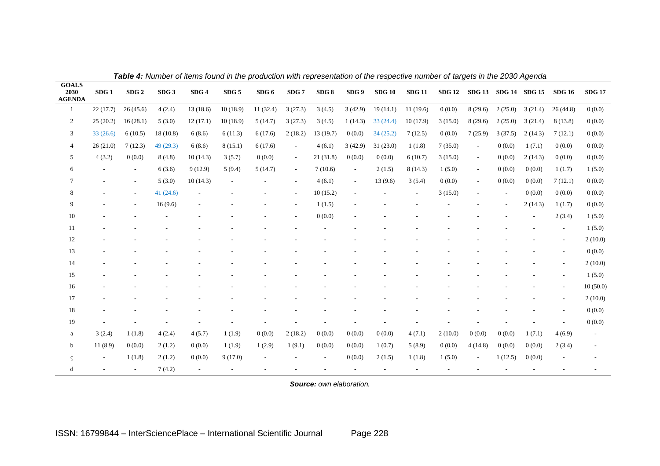|                                       | <b>Table 4.</b> Number of hems found in the production with representation of the respective humber of targets in the 2050 Agenda |                          |                  |                          |                  |                |                          |          |                          |               |               |               |         |                      |         |               |                          |
|---------------------------------------|-----------------------------------------------------------------------------------------------------------------------------------|--------------------------|------------------|--------------------------|------------------|----------------|--------------------------|----------|--------------------------|---------------|---------------|---------------|---------|----------------------|---------|---------------|--------------------------|
| <b>GOALS</b><br>2030<br><b>AGENDA</b> | SDG <sub>1</sub>                                                                                                                  | SDG <sub>2</sub>         | SDG <sub>3</sub> | SDG4                     | SDG <sub>5</sub> | SDG 6          | SDG <sub>7</sub>         | SDG8     | SDG 9                    | <b>SDG 10</b> | <b>SDG 11</b> | <b>SDG 12</b> |         | SDG 13 SDG 14 SDG 15 |         | <b>SDG 16</b> | <b>SDG 17</b>            |
| $\mathbf{1}$                          | 22(17.7)                                                                                                                          | 26(45.6)                 | 4(2.4)           | 13(18.6)                 | 10(18.9)         | 11(32.4)       | 3(27.3)                  | 3(4.5)   | 3(42.9)                  | 19(14.1)      | 11(19.6)      | 0(0.0)        | 8(29.6) | 2(25.0)              | 3(21.4) | 26(44.8)      | 0(0.0)                   |
| $\overline{c}$                        | 25(20.2)                                                                                                                          | 16(28.1)                 | 5(3.0)           | 12(17.1)                 | 10(18.9)         | 5(14.7)        | 3(27.3)                  | 3(4.5)   | 1(14.3)                  | 33(24.4)      | 10(17.9)      | 3(15.0)       | 8(29.6) | 2(25.0)              | 3(21.4) | 8(13.8)       | 0(0.0)                   |
| 3                                     | 33(26.6)                                                                                                                          | 6(10.5)                  | 18(10.8)         | 6(8.6)                   | 6(11.3)          | 6(17.6)        | 2(18.2)                  | 13(19.7) | 0(0.0)                   | 34(25.2)      | 7(12.5)       | 0(0.0)        | 7(25.9) | 3(37.5)              | 2(14.3) | 7(12.1)       | 0(0.0)                   |
| $\overline{4}$                        | 26(21.0)                                                                                                                          | 7(12.3)                  | 49(29.3)         | 6(8.6)                   | 8(15.1)          | 6(17.6)        | $\overline{\phantom{a}}$ | 4(6.1)   | 3(42.9)                  | 31(23.0)      | 1(1.8)        | 7(35.0)       | $\sim$  | 0(0.0)               | 1(7.1)  | 0(0.0)        | 0(0.0)                   |
| 5                                     | 4(3.2)                                                                                                                            | 0(0.0)                   | 8(4.8)           | 10(14.3)                 | 3(5.7)           | 0(0.0)         | $\blacksquare$           | 21(31.8) | 0(0.0)                   | 0(0.0)        | 6(10.7)       | 3(15.0)       | $\sim$  | 0(0.0)               | 2(14.3) | 0(0.0)        | 0(0.0)                   |
| 6                                     |                                                                                                                                   | $\overline{\phantom{a}}$ | 6(3.6)           | 9(12.9)                  | 5(9.4)           | 5(14.7)        | $\sim$                   | 7(10.6)  | $\overline{\phantom{a}}$ | 2(1.5)        | 8(14.3)       | 1(5.0)        | $\sim$  | 0(0.0)               | 0(0.0)  | 1(1.7)        | 1(5.0)                   |
| $\tau$                                |                                                                                                                                   | $\sim$                   | 5(3.0)           | 10(14.3)                 |                  |                | $\sim$                   | 4(6.1)   | $\sim$                   | 13(9.6)       | 3(5.4)        | 0(0.0)        | $\sim$  | 0(0.0)               | 0(0.0)  | 7(12.1)       | 0(0.0)                   |
| 8                                     |                                                                                                                                   | $\sim$                   | 41(24.6)         | $\overline{\phantom{a}}$ |                  |                | $\sim$                   | 10(15.2) | $\overline{\phantom{a}}$ |               | $\sim$        | 3(15.0)       |         | $\sim$               | 0(0.0)  | 0(0.0)        | 0(0.0)                   |
| 9                                     |                                                                                                                                   | $\overline{\phantom{a}}$ | 16(9.6)          | $\overline{\phantom{a}}$ |                  |                | $\sim$                   | 1(1.5)   |                          |               |               |               |         |                      | 2(14.3) | 1(1.7)        | 0(0.0)                   |
| 10                                    |                                                                                                                                   |                          |                  |                          |                  |                |                          | 0(0.0)   |                          |               |               |               |         |                      |         | 2(3.4)        | 1(5.0)                   |
| 11                                    |                                                                                                                                   |                          |                  |                          |                  |                |                          |          |                          |               |               |               |         |                      |         | $\sim$        | 1(5.0)                   |
| 12                                    |                                                                                                                                   |                          |                  |                          |                  |                |                          |          |                          |               |               |               |         |                      |         |               | 2(10.0)                  |
| 13                                    |                                                                                                                                   |                          |                  |                          |                  |                |                          |          |                          |               |               |               |         |                      |         |               | 0(0.0)                   |
| 14                                    |                                                                                                                                   |                          |                  |                          |                  |                |                          |          |                          |               |               |               |         |                      |         |               | 2(10.0)                  |
| 15                                    |                                                                                                                                   |                          |                  |                          |                  |                |                          |          |                          |               |               |               |         |                      |         |               | 1(5.0)                   |
| 16                                    |                                                                                                                                   |                          |                  |                          |                  |                |                          |          |                          |               |               |               |         |                      |         |               | 10(50.0)                 |
| 17                                    |                                                                                                                                   |                          |                  |                          |                  |                |                          |          |                          |               |               |               |         |                      |         |               | 2(10.0)                  |
| 18                                    |                                                                                                                                   |                          |                  |                          |                  |                |                          |          |                          |               |               |               |         |                      |         |               | 0(0.0)                   |
| 19                                    |                                                                                                                                   |                          |                  |                          |                  |                |                          |          |                          |               |               |               |         |                      |         |               | 0(0.0)                   |
| $\rm{a}$                              | 3(2.4)                                                                                                                            | 1(1.8)                   | 4(2.4)           | 4(5.7)                   | 1(1.9)           | 0(0.0)         | 2(18.2)                  | 0(0.0)   | 0(0.0)                   | 0(0.0)        | 4(7.1)        | 2(10.0)       | 0(0.0)  | 0(0.0)               | 1(7.1)  | 4(6.9)        | $\overline{\phantom{a}}$ |
| $\mathbf b$                           | 11(8.9)                                                                                                                           | 0(0.0)                   | 2(1.2)           | 0(0.0)                   | 1(1.9)           | 1(2.9)         | 1(9.1)                   | 0(0.0)   | 0(0.0)                   | 1(0.7)        | 5(8.9)        | 0(0.0)        | 4(14.8) | 0(0.0)               | 0(0.0)  | 2(3.4)        | $\overline{\phantom{a}}$ |
| ç                                     | $\sim$                                                                                                                            | 1(1.8)                   | 2(1.2)           | 0(0.0)                   | 9(17.0)          | $\blacksquare$ |                          | $\sim$   | 0(0.0)                   | 2(1.5)        | 1(1.8)        | 1(5.0)        | $\sim$  | 1(12.5)              | 0(0.0)  |               |                          |
| d                                     | $\overline{\phantom{a}}$                                                                                                          | $\sim$                   | 7(4.2)           | ÷.                       |                  |                |                          |          |                          |               |               |               |         |                      |         |               |                          |

*Table 4: Number of items found in the production with representation of the respective number of targets in the 2030 Agenda*

*Source: own elaboration.*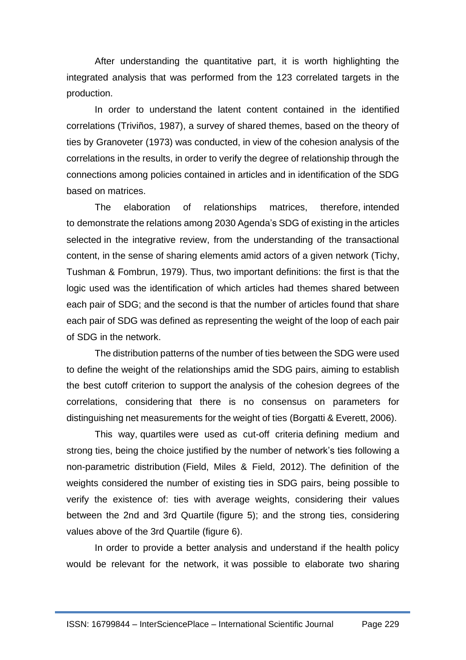After understanding the quantitative part, it is worth highlighting the integrated analysis that was performed from the 123 correlated targets in the production.

In order to understand the latent content contained in the identified correlations (Triviños, 1987), a survey of shared themes, based on the theory of ties by Granoveter (1973) was conducted, in view of the cohesion analysis of the correlations in the results, in order to verify the degree of relationship through the connections among policies contained in articles and in identification of the SDG based on matrices.

The elaboration of relationships matrices, therefore, intended to demonstrate the relations among 2030 Agenda's SDG of existing in the articles selected in the integrative review, from the understanding of the transactional content, in the sense of sharing elements amid actors of a given network (Tichy, Tushman & Fombrun, 1979). Thus, two important definitions: the first is that the logic used was the identification of which articles had themes shared between each pair of SDG; and the second is that the number of articles found that share each pair of SDG was defined as representing the weight of the loop of each pair of SDG in the network.

The distribution patterns of the number of ties between the SDG were used to define the weight of the relationships amid the SDG pairs, aiming to establish the best cutoff criterion to support the analysis of the cohesion degrees of the correlations, considering that there is no consensus on parameters for distinguishing net measurements for the weight of ties (Borgatti & Everett, 2006).

This way, quartiles were used as cut-off criteria defining medium and strong ties, being the choice justified by the number of network's ties following a non-parametric distribution (Field, Miles & Field, 2012). The definition of the weights considered the number of existing ties in SDG pairs, being possible to verify the existence of: ties with average weights, considering their values between the 2nd and 3rd Quartile (figure 5); and the strong ties, considering values above of the 3rd Quartile (figure 6).

In order to provide a better analysis and understand if the health policy would be relevant for the network, it was possible to elaborate two sharing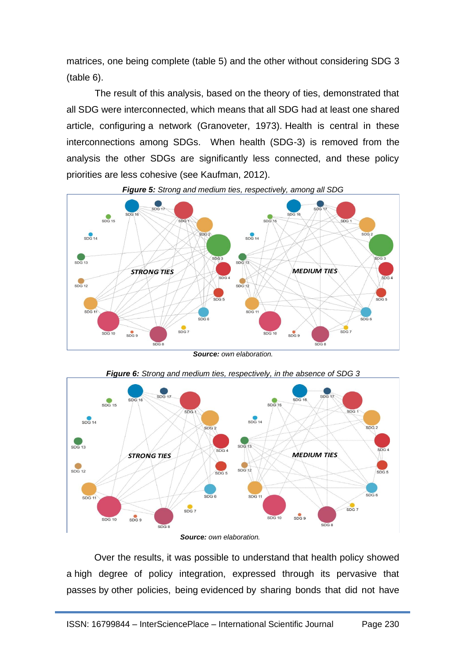matrices, one being complete (table 5) and the other without considering SDG 3 (table 6).

The result of this analysis, based on the theory of ties, demonstrated that all SDG were interconnected, which means that all SDG had at least one shared article, configuring a network (Granoveter, 1973). Health is central in these interconnections among SDGs. When health (SDG-3) is removed from the analysis the other SDGs are significantly less connected, and these policy priorities are less cohesive (see Kaufman, 2012).



*Figure 5: Strong and medium ties, respectively, among all SDG*



*Figure 6: Strong and medium ties, respectively, in the absence of SDG 3*

Over the results, it was possible to understand that health policy showed a high degree of policy integration, expressed through its pervasive that passes by other policies, being evidenced by sharing bonds that did not have

*Source: own elaboration.*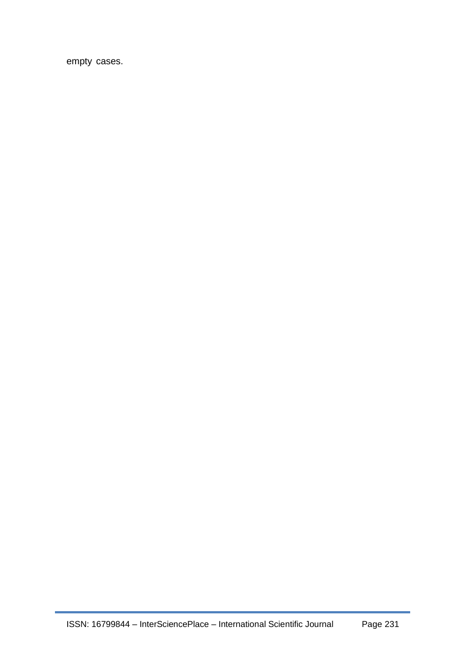empty cases.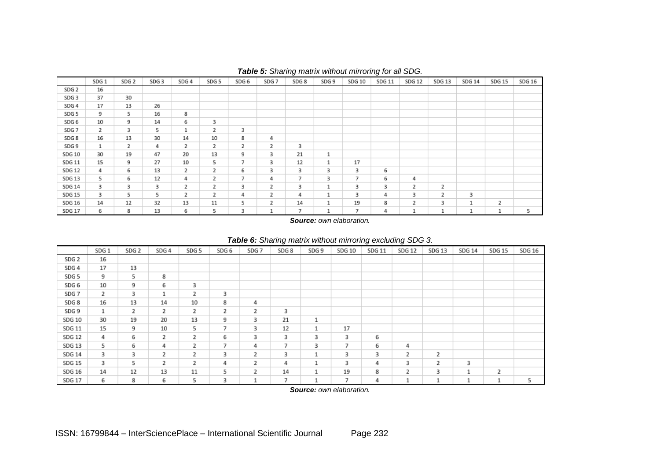|                  | SDG <sub>1</sub> | SDG <sub>2</sub> | SDG 3 | SDG 4 | SDG 5 | SDG 6 | SDG <sub>7</sub> | SDG <sub>8</sub> | SDG 9 | SDG 10         | SDG 11 | <b>SDG 12</b> | SDG 13         | SDG 14 | SDG 15 | SDG 16 |
|------------------|------------------|------------------|-------|-------|-------|-------|------------------|------------------|-------|----------------|--------|---------------|----------------|--------|--------|--------|
| SDG 2            | 16               |                  |       |       |       |       |                  |                  |       |                |        |               |                |        |        |        |
| SDG <sub>3</sub> | 37               | 30               |       |       |       |       |                  |                  |       |                |        |               |                |        |        |        |
| SDG 4            | 17               | 13               | 26    |       |       |       |                  |                  |       |                |        |               |                |        |        |        |
| SDG 5            | 9                | 5                | 16    | 8     |       |       |                  |                  |       |                |        |               |                |        |        |        |
| SDG 6            | 10               | 9                | 14    | 6     | 3     |       |                  |                  |       |                |        |               |                |        |        |        |
| SDG 7            | 2                | 3                | 5     | ı     | 2     | 3     |                  |                  |       |                |        |               |                |        |        |        |
| SDG 8            | 16               | 13               | 30    | 14    | 10    | 8     | 4                |                  |       |                |        |               |                |        |        |        |
| SDG 9            | 1                | 2                | 4     | 2     | 2     | 2     | 2                | з                |       |                |        |               |                |        |        |        |
| SDG 10           | 30               | 19               | 47    | 20    | 13    | 9     | 3                | 21               | ⊥     |                |        |               |                |        |        |        |
| SDG 11           | 15               | 9                | 27    | 10    | 5     | 7     | 3                | 12               | ı     | 17             |        |               |                |        |        |        |
| SDG 12           | 4                | 6                | 13    | 2     | 2     | 6     | 3                | 3                | 3     | 3              | 6      |               |                |        |        |        |
| SDG 13           | 5                | 6                | 12    | 4     | 2     | 7     | 4                | 7                | 3     | 7              | 6      | 4             |                |        |        |        |
| SDG 14           | 3                | 3                | 3     | 2     | 2     | 3     | 2                | 3                |       | 3              | 3      | 2             | $\overline{2}$ |        |        |        |
| SDG 15           | 3                | 5                | 5     | 2     | 2     | 4     | 2                | 4                | ٠     | 3              | 4      | з             | 2              | 3      |        |        |
| SDG 16           | 14               | 12               | 32    | 13    | 11    | 5     | 2                | 14               | ÷     | 19             | 8      | 2             | 3              | 1      | 2      |        |
| SDG 17           | 6                | 8                | 13    | 6     | 5     | з     |                  | 7                |       | $\overline{7}$ | 4      | ⊥             |                |        | 1      | 5      |

#### *Table 5: Sharing matrix without mirroring for all SDG.*

*Source: own elaboration.*

|                  | SDG <sub>1</sub> | SDG <sub>2</sub> | SDG 4 | SDG <sub>5</sub> | SDG <sub>6</sub> | SDG <sub>7</sub> | SDG <sub>8</sub> | SDG 9 | SDG 10 | SDG 11 | SDG <sub>12</sub> | <b>SDG 13</b> | SDG 14 | <b>SDG 15</b> | SDG 16 |
|------------------|------------------|------------------|-------|------------------|------------------|------------------|------------------|-------|--------|--------|-------------------|---------------|--------|---------------|--------|
| SDG <sub>2</sub> | 16               |                  |       |                  |                  |                  |                  |       |        |        |                   |               |        |               |        |
| SDG 4            | 17               | 13               |       |                  |                  |                  |                  |       |        |        |                   |               |        |               |        |
| SDG 5            | 9                | 5                | 8     |                  |                  |                  |                  |       |        |        |                   |               |        |               |        |
| SDG 6            | 10               | 9                | 6     | з                |                  |                  |                  |       |        |        |                   |               |        |               |        |
| SDG 7            | 2                | 3                | 1     | 2                | 3                |                  |                  |       |        |        |                   |               |        |               |        |
| SDG 8            | 16               | 13               | 14    | 10               | 8                | 4                |                  |       |        |        |                   |               |        |               |        |
| SDG 9            | $\mathbf{1}$     | 2                | 2     | 2                | 2                | 2                | 3                |       |        |        |                   |               |        |               |        |
| SDG 10           | 30               | 19               | 20    | 13               | 9                | з                | 21               | 1     |        |        |                   |               |        |               |        |
| SDG 11           | 15               | 9                | 10    | 5                | $\overline{7}$   | 3                | 12               | 1     | 17     |        |                   |               |        |               |        |
| SDG 12           | 4                | 6                | 2     | 2                | 6                | 3                | 3                | 3     | з      | 6      |                   |               |        |               |        |
| SDG 13           | 5                | 6                | 4     | 2                | 7                | 4                | 7                | 3     | 7      | 6      | 4                 |               |        |               |        |
| SDG 14           | 3                | з                | 2     | 2                | з                | 2                | з                | 1     | 3      | з      | 2                 | 2             |        |               |        |
| SDG 15           | 3                | 5                | 2     | 2                | 4                | 2                | 4                | 1     | 3      | 4      | 3                 | 2             | 3      |               |        |
| SDG 16           | 14               | 12               | 13    | 11               | 5                | 2                | 14               | 1     | 19     | 8      | 2                 | 3             | ٠      | 2             |        |
| SDG 17           | 6                | 8                | 6     | 5                | з                | ┸                | 7                | 1     | 7      | 4      | ┸                 | 1             | ⊥      | ÷             | 5      |

#### *Table 6: Sharing matrix without mirroring excluding SDG 3.*

*Source: own elaboration.*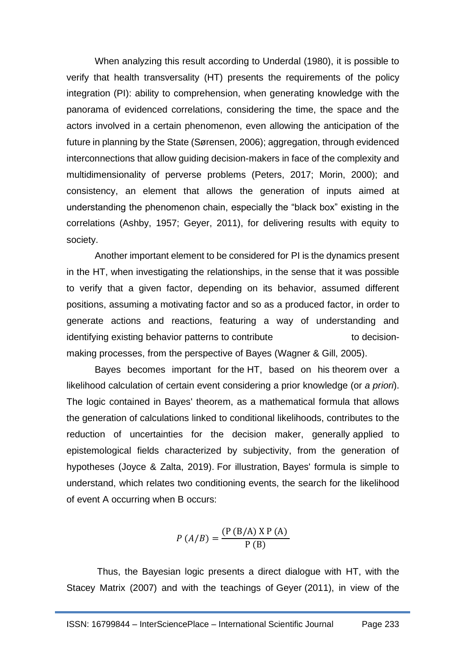When analyzing this result according to Underdal (1980), it is possible to verify that health transversality (HT) presents the requirements of the policy integration (PI): ability to comprehension, when generating knowledge with the panorama of evidenced correlations, considering the time, the space and the actors involved in a certain phenomenon, even allowing the anticipation of the future in planning by the State (Sørensen, 2006); aggregation, through evidenced interconnections that allow guiding decision-makers in face of the complexity and multidimensionality of perverse problems (Peters, 2017; Morin, 2000); and consistency, an element that allows the generation of inputs aimed at understanding the phenomenon chain, especially the "black box" existing in the correlations (Ashby, 1957; Geyer, 2011), for delivering results with equity to society.

Another important element to be considered for PI is the dynamics present in the HT, when investigating the relationships, in the sense that it was possible to verify that a given factor, depending on its behavior, assumed different positions, assuming a motivating factor and so as a produced factor, in order to generate actions and reactions, featuring a way of understanding and identifying existing behavior patterns to contribute the state of decisionmaking processes, from the perspective of Bayes (Wagner & Gill, 2005).

Bayes becomes important for the HT, based on his theorem over a likelihood calculation of certain event considering a prior knowledge (or *a priori*). The logic contained in Bayes' theorem, as a mathematical formula that allows the generation of calculations linked to conditional likelihoods, contributes to the reduction of uncertainties for the decision maker, generally applied to epistemological fields characterized by subjectivity, from the generation of hypotheses (Joyce & Zalta, 2019). For illustration, Bayes' formula is simple to understand, which relates two conditioning events, the search for the likelihood of event A occurring when B occurs:

$$
P(A/B) = \frac{(P(B/A) \times P(A))}{P(B)}
$$

Thus, the Bayesian logic presents a direct dialogue with HT, with the Stacey Matrix (2007) and with the teachings of Geyer (2011), in view of the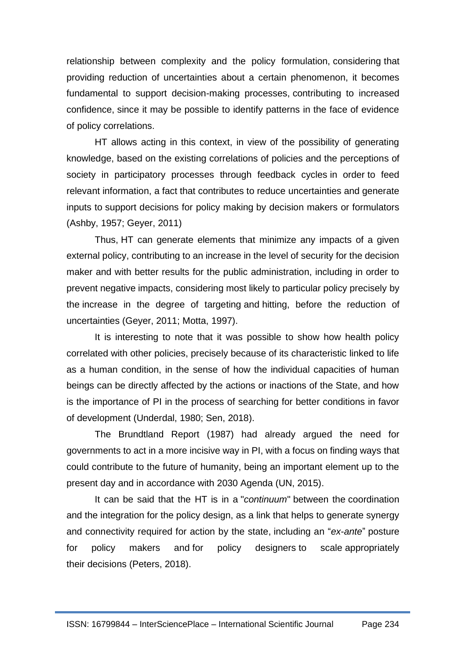relationship between complexity and the policy formulation, considering that providing reduction of uncertainties about a certain phenomenon, it becomes fundamental to support decision-making processes, contributing to increased confidence, since it may be possible to identify patterns in the face of evidence of policy correlations.

HT allows acting in this context, in view of the possibility of generating knowledge, based on the existing correlations of policies and the perceptions of society in participatory processes through feedback cycles in order to feed relevant information, a fact that contributes to reduce uncertainties and generate inputs to support decisions for policy making by decision makers or formulators (Ashby, 1957; Geyer, 2011)

Thus, HT can generate elements that minimize any impacts of a given external policy, contributing to an increase in the level of security for the decision maker and with better results for the public administration, including in order to prevent negative impacts, considering most likely to particular policy precisely by the increase in the degree of targeting and hitting, before the reduction of uncertainties (Geyer, 2011; Motta, 1997).

It is interesting to note that it was possible to show how health policy correlated with other policies, precisely because of its characteristic linked to life as a human condition, in the sense of how the individual capacities of human beings can be directly affected by the actions or inactions of the State, and how is the importance of PI in the process of searching for better conditions in favor of development (Underdal, 1980; Sen, 2018).

The Brundtland Report (1987) had already argued the need for governments to act in a more incisive way in PI, with a focus on finding ways that could contribute to the future of humanity, being an important element up to the present day and in accordance with 2030 Agenda (UN, 2015).

It can be said that the HT is in a "*continuum*" between the coordination and the integration for the policy design, as a link that helps to generate synergy and connectivity required for action by the state, including an "*ex-ante*" posture for policy makers and for policy designers to scale appropriately their decisions (Peters, 2018).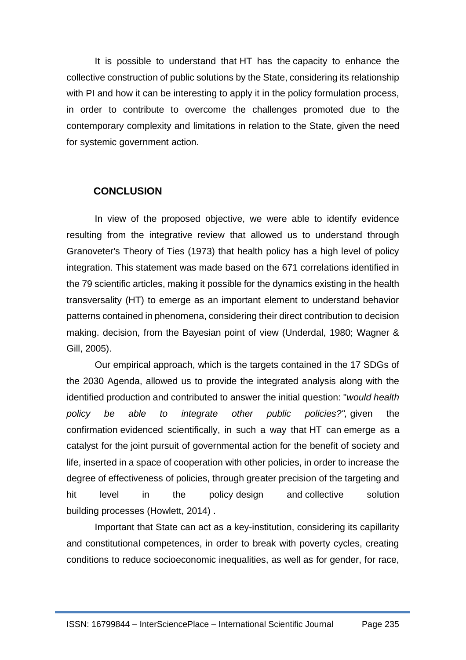It is possible to understand that HT has the capacity to enhance the collective construction of public solutions by the State, considering its relationship with PI and how it can be interesting to apply it in the policy formulation process, in order to contribute to overcome the challenges promoted due to the contemporary complexity and limitations in relation to the State, given the need for systemic government action.

## **CONCLUSION**

In view of the proposed objective, we were able to identify evidence resulting from the integrative review that allowed us to understand through Granoveter's Theory of Ties (1973) that health policy has a high level of policy integration. This statement was made based on the 671 correlations identified in the 79 scientific articles, making it possible for the dynamics existing in the health transversality (HT) to emerge as an important element to understand behavior patterns contained in phenomena, considering their direct contribution to decision making. decision, from the Bayesian point of view (Underdal, 1980; Wagner & Gill, 2005).

Our empirical approach, which is the targets contained in the 17 SDGs of the 2030 Agenda, allowed us to provide the integrated analysis along with the identified production and contributed to answer the initial question: "*would health policy be able to integrate other public policies?",* given the confirmation evidenced scientifically, in such a way that HT can emerge as a catalyst for the joint pursuit of governmental action for the benefit of society and life, inserted in a space of cooperation with other policies, in order to increase the degree of effectiveness of policies, through greater precision of the targeting and hit level in the policy design and collective solution building processes (Howlett, 2014) .

Important that State can act as a key-institution, considering its capillarity and constitutional competences, in order to break with poverty cycles, creating conditions to reduce socioeconomic inequalities, as well as for gender, for race,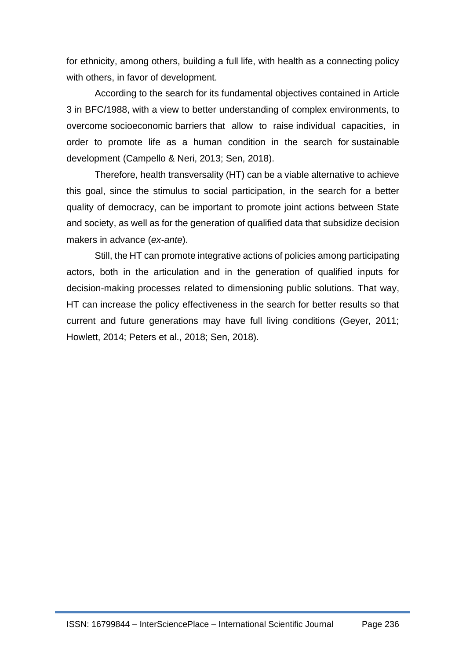for ethnicity, among others, building a full life, with health as a connecting policy with others, in favor of development.

According to the search for its fundamental objectives contained in Article 3 in BFC/1988, with a view to better understanding of complex environments, to overcome socioeconomic barriers that allow to raise individual capacities, in order to promote life as a human condition in the search for sustainable development (Campello & Neri, 2013; Sen, 2018).

Therefore, health transversality (HT) can be a viable alternative to achieve this goal, since the stimulus to social participation, in the search for a better quality of democracy, can be important to promote joint actions between State and society, as well as for the generation of qualified data that subsidize decision makers in advance (*ex-ante*).

Still, the HT can promote integrative actions of policies among participating actors, both in the articulation and in the generation of qualified inputs for decision-making processes related to dimensioning public solutions. That way, HT can increase the policy effectiveness in the search for better results so that current and future generations may have full living conditions (Geyer, 2011; Howlett, 2014; Peters et al., 2018; Sen, 2018).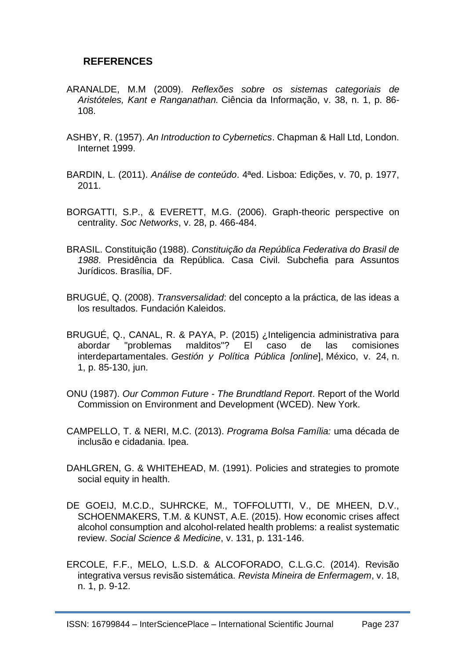## **REFERENCES**

- ARANALDE, M.M (2009). *Reflexões sobre os sistemas categoriais de Aristóteles, Kant e Ranganathan.* Ciência da Informação, v. 38, n. 1, p. 86- 108.
- ASHBY, R. (1957). *An Introduction to Cybernetics*. Chapman & Hall Ltd, London. Internet 1999.
- BARDIN, L. (2011). *Análise de conteúdo*. 4ªed. Lisboa: Edições, v. 70, p. 1977, 2011.
- BORGATTI, S.P., & EVERETT, M.G. (2006). Graph-theoric perspective on centrality. *Soc Networks*, v. 28, p. 466-484.
- BRASIL. Constituição (1988). *Constituição da República Federativa do Brasil de 1988*. Presidência da República. Casa Civil. Subchefia para Assuntos Jurídicos. Brasília, DF.
- BRUGUÉ, Q. (2008). *Transversalidad*: del concepto a la práctica, de las ideas a los resultados. Fundación Kaleidos.
- BRUGUÉ, Q., CANAL, R. & PAYA, P. (2015) ¿Inteligencia administrativa para abordar "problemas malditos"? El caso de las comisiones interdepartamentales. *Gestión y Política Pública [online*], México, v. 24, n. 1, p. 85-130, jun.
- ONU (1987). *Our Common Future - The Brundtland Report*. Report of the World Commission on Environment and Development (WCED). New York.
- CAMPELLO, T. & NERI, M.C. (2013). *Programa Bolsa Família:* uma década de inclusão e cidadania. Ipea.
- DAHLGREN, G. & WHITEHEAD, M. (1991). Policies and strategies to promote social equity in health.
- DE GOEIJ, M.C.D., SUHRCKE, M., TOFFOLUTTI, V., DE MHEEN, D.V., SCHOENMAKERS, T.M. & KUNST, A.E. (2015). How economic crises affect alcohol consumption and alcohol-related health problems: a realist systematic review. *Social Science & Medicine*, v. 131, p. 131-146.
- ERCOLE, F.F., MELO, L.S.D. & ALCOFORADO, C.L.G.C. (2014). Revisão integrativa versus revisão sistemática. *Revista Mineira de Enfermagem*, v. 18, n. 1, p. 9-12.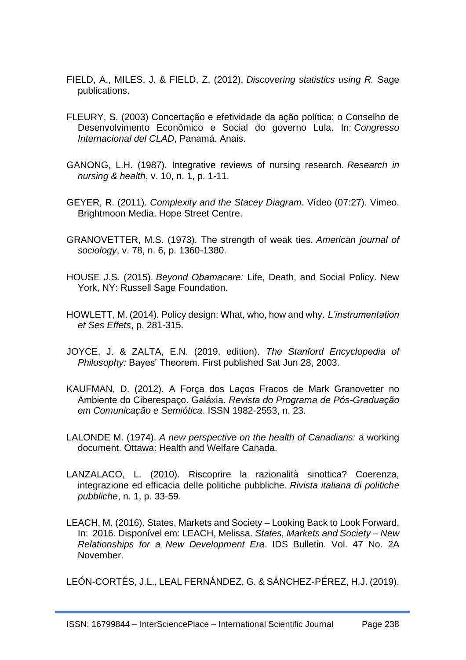- FIELD, A., MILES, J. & FIELD, Z. (2012). *Discovering statistics using R.* Sage publications.
- FLEURY, S. (2003) Concertação e efetividade da ação política: o Conselho de Desenvolvimento Econômico e Social do governo Lula. In: *Congresso Internacional del CLAD*, Panamá. Anais.
- GANONG, L.H. (1987). Integrative reviews of nursing research. *Research in nursing & health*, v. 10, n. 1, p. 1-11.
- GEYER, R. (2011). *Complexity and the Stacey Diagram.* Vídeo (07:27). Vimeo. Brightmoon Media. Hope Street Centre.
- GRANOVETTER, M.S. (1973). The strength of weak ties. *American journal of sociology*, v. 78, n. 6, p. 1360-1380.
- HOUSE J.S. (2015). *Beyond Obamacare:* Life, Death, and Social Policy. New York, NY: Russell Sage Foundation.
- HOWLETT, M. (2014). Policy design: What, who, how and why. *L'instrumentation et Ses Effets*, p. 281-315.
- JOYCE, J. & ZALTA, E.N. (2019, edition). *The Stanford Encyclopedia of Philosophy:* Bayes' Theorem. First published Sat Jun 28, 2003.
- KAUFMAN, D. (2012). A Força dos Laços Fracos de Mark Granovetter no Ambiente do Ciberespaço. Galáxia. *Revista do Programa de Pós-Graduação em Comunicação e Semiótica*. ISSN 1982-2553, n. 23.
- LALONDE M. (1974). *A new perspective on the health of Canadians:* a working document. Ottawa: Health and Welfare Canada.
- LANZALACO, L. (2010). Riscoprire la razionalità sinottica? Coerenza, integrazione ed efficacia delle politiche pubbliche. *Rivista italiana di politiche pubbliche*, n. 1, p. 33-59.
- LEACH, M. (2016). States, Markets and Society Looking Back to Look Forward. In: 2016. Disponível em: LEACH, Melissa. *States, Markets and Society – New Relationships for a New Development Era*. IDS Bulletin. Vol. 47 No. 2A November.

LEÓN-CORTÉS, J.L., LEAL FERNÁNDEZ, G. & SÁNCHEZ-PÉREZ, H.J. (2019).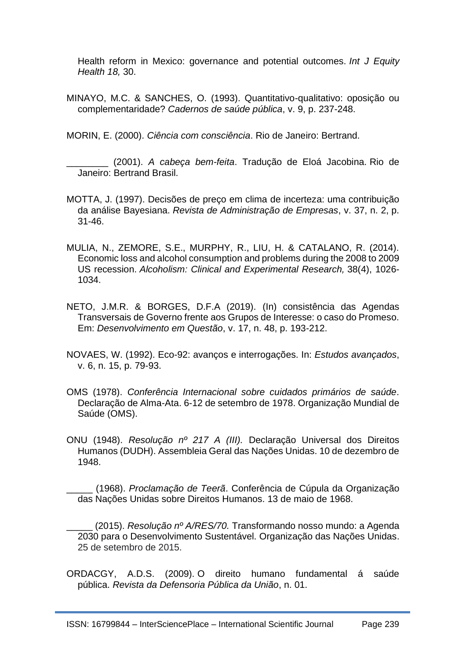Health reform in Mexico: governance and potential outcomes. *Int J Equity Health 18,* 30.

MINAYO, M.C. & SANCHES, O. (1993). Quantitativo-qualitativo: oposição ou complementaridade? *Cadernos de saúde pública*, v. 9, p. 237-248.

MORIN, E. (2000). *Ciência com consciência*. Rio de Janeiro: Bertrand.

\_\_\_\_\_\_\_\_ (2001). *A cabeça bem-feita*. Tradução de Eloá Jacobina. Rio de Janeiro: Bertrand Brasil.

- MOTTA, J. (1997). Decisões de preço em clima de incerteza: uma contribuição da análise Bayesiana. *Revista de Administração de Empresas*, v. 37, n. 2, p. 31-46.
- MULIA, N., ZEMORE, S.E., MURPHY, R., LIU, H. & CATALANO, R. (2014). Economic loss and alcohol consumption and problems during the 2008 to 2009 US recession. *Alcoholism: Clinical and Experimental Research,* 38(4), 1026- 1034.
- NETO, J.M.R. & BORGES, D.F.A (2019). (In) consistência das Agendas Transversais de Governo frente aos Grupos de Interesse: o caso do Promeso. Em: *Desenvolvimento em Questão*, v. 17, n. 48, p. 193-212.
- NOVAES, W. (1992). Eco-92: avanços e interrogações. In: *Estudos avançados*, v. 6, n. 15, p. 79-93.
- OMS (1978). *Conferência Internacional sobre cuidados primários de saúde*. Declaração de Alma-Ata. 6-12 de setembro de 1978. Organização Mundial de Saúde (OMS).
- ONU (1948). *Resolução nº 217 A (III).* Declaração Universal dos Direitos Humanos (DUDH). Assembleia Geral das Nações Unidas. 10 de dezembro de 1948.

\_\_\_\_\_ (1968). *Proclamação de Teerã*. Conferência de Cúpula da Organização das Nações Unidas sobre Direitos Humanos. 13 de maio de 1968.

\_\_\_\_\_ (2015). *Resolução nº A/RES/70.* Transformando nosso mundo: a Agenda 2030 para o Desenvolvimento Sustentável. Organização das Nações Unidas. 25 de setembro de 2015.

ORDACGY, A.D.S. (2009). O direito humano fundamental á saúde pública. *Revista da Defensoria Pública da União*, n. 01.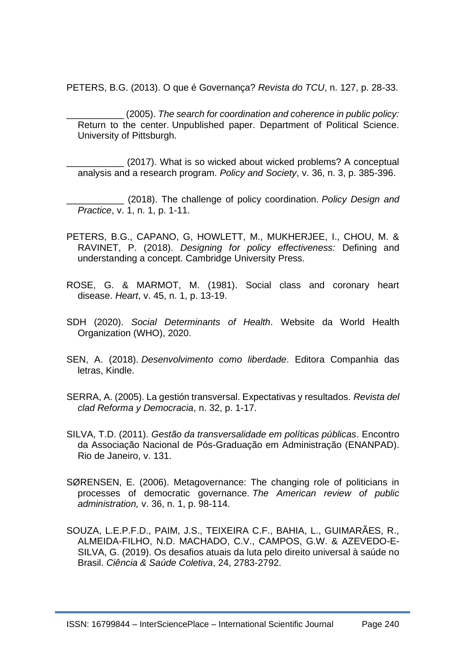PETERS, B.G. (2013). O que é Governança? *Revista do TCU*, n. 127, p. 28-33.

\_\_\_\_\_\_\_\_\_\_\_ (2005). *The search for coordination and coherence in public policy:* Return to the center. Unpublished paper. Department of Political Science. University of Pittsburgh.

(2017). What is so wicked about wicked problems? A conceptual analysis and a research program. *Policy and Society*, v. 36, n. 3, p. 385-396.

\_\_\_\_\_\_\_\_\_\_\_ (2018). The challenge of policy coordination. *Policy Design and Practice*, v. 1, n. 1, p. 1-11.

- PETERS, B.G., CAPANO, G, HOWLETT, M., MUKHERJEE, I., CHOU, M. & RAVINET, P. (2018). *Designing for policy effectiveness:* Defining and understanding a concept. Cambridge University Press.
- ROSE, G. & MARMOT, M. (1981). Social class and coronary heart disease. *Heart*, v. 45, n. 1, p. 13-19.
- SDH (2020). *Social Determinants of Health*. Website da World Health Organization (WHO), 2020.
- SEN, A. (2018). *Desenvolvimento como liberdade*. Editora Companhia das letras, Kindle.
- SERRA, A. (2005). La gestión transversal. Expectativas y resultados. *Revista del clad Reforma y Democracia*, n. 32, p. 1-17.
- SILVA, T.D. (2011). *Gestão da transversalidade em políticas públicas*. Encontro da Associação Nacional de Pós-Graduação em Administração (ENANPAD). Rio de Janeiro, v. 131.
- SØRENSEN, E. (2006). Metagovernance: The changing role of politicians in processes of democratic governance. *The American review of public administration,* v. 36, n. 1, p. 98-114.
- SOUZA, L.E.P.F.D., PAIM, J.S., TEIXEIRA C.F., BAHIA, L., GUIMARÃES, R., ALMEIDA-FILHO, N.D. MACHADO, C.V., CAMPOS, G.W. & AZEVEDO-E-SILVA, G. (2019). Os desafios atuais da luta pelo direito universal à saúde no Brasil. *Ciência & Saúde Coletiva*, 24, 2783-2792.